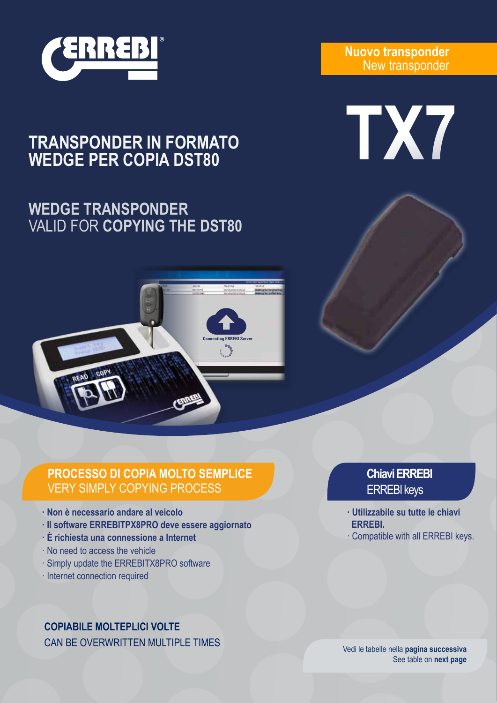

**Nuovo transponder** New transponder

# **TRANSPONDER IN FORMATO**  TRANSPONDER IN FORMATO<br>WEDGE PER COPIA DST80

## **WEDGE TRANSPONDER**  VALID FOR **COPYING THE DST80**



### **PROCESSO DI COPIA MOLTO SEMPLICE** VERY SIMPLY COPYING PROCESS

- **· Non è necessario andare al veicolo**
- **· Il software ERREBITPX8PRO deve essere aggiornato**
- **· È richiesta una connessione a Internet**
- · No need to access the vehicle
- · Simply update the ERREBITX8PRO software
- · Internet connection required

#### **COPIABILE MOLTEPLICI VOLTE**  CAN BE OVERWRITTEN MULTIPLE TIMES

### **Chiavi ERREBI**  ERREBI keys

- **· Utilizzabile su tutte le chiavi ERREBI.**
- · Compatible with all ERREBI keys.

Vedi le tabelle nella **pagina successiva** See table on **next page**